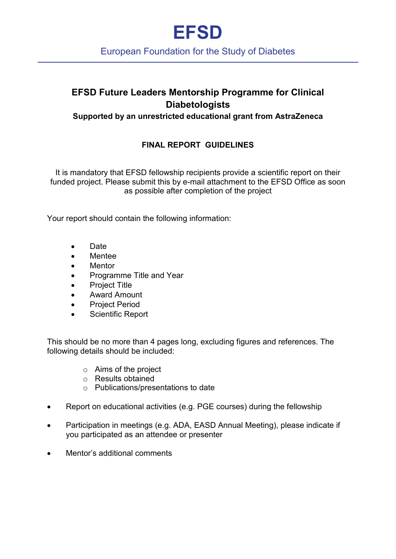# **EFSD**

### European Foundation for the Study of Diabetes

## **EFSD Future Leaders Mentorship Programme for Clinical Diabetologists**

#### **Supported by an unrestricted educational grant from AstraZeneca**

#### **FINAL REPORT GUIDELINES**

It is mandatory that EFSD fellowship recipients provide a scientific report on their funded project. Please submit this by e-mail attachment to the EFSD Office as soon as possible after completion of the project

Your report should contain the following information:

- Date
- Mentee
- Mentor
- Programme Title and Year
- Project Title
- Award Amount
- Project Period
- Scientific Report

This should be no more than 4 pages long, excluding figures and references. The following details should be included:

- o Aims of the project
- o Results obtained
- o Publications/presentations to date
- Report on educational activities (e.g. PGE courses) during the fellowship
- Participation in meetings (e.g. ADA, EASD Annual Meeting), please indicate if you participated as an attendee or presenter
- Mentor's additional comments